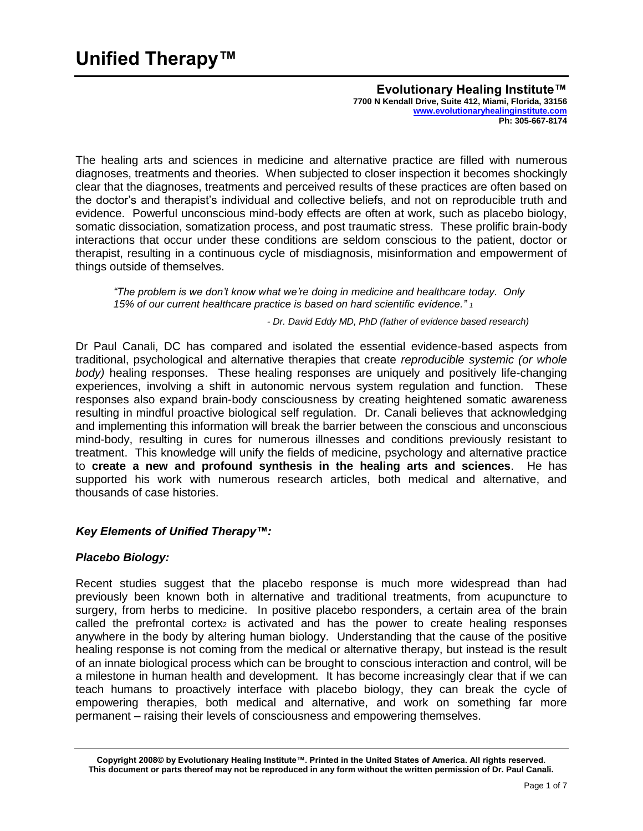The healing arts and sciences in medicine and alternative practice are filled with numerous diagnoses, treatments and theories. When subjected to closer inspection it becomes shockingly clear that the diagnoses, treatments and perceived results of these practices are often based on the doctor's and therapist's individual and collective beliefs, and not on reproducible truth and evidence. Powerful unconscious mind-body effects are often at work, such as placebo biology, somatic dissociation, somatization process, and post traumatic stress. These prolific brain-body interactions that occur under these conditions are seldom conscious to the patient, doctor or therapist, resulting in a continuous cycle of misdiagnosis, misinformation and empowerment of things outside of themselves.

*"The problem is we don't know what we're doing in medicine and healthcare today. Only 15% of our current healthcare practice is based on hard scientific evidence." <sup>1</sup>*

*- Dr. David Eddy MD, PhD (father of evidence based research)*

Dr Paul Canali, DC has compared and isolated the essential evidence-based aspects from traditional, psychological and alternative therapies that create *reproducible systemic (or whole body)* healing responses. These healing responses are uniquely and positively life-changing experiences, involving a shift in autonomic nervous system regulation and function. These responses also expand brain-body consciousness by creating heightened somatic awareness resulting in mindful proactive biological self regulation. Dr. Canali believes that acknowledging and implementing this information will break the barrier between the conscious and unconscious mind-body, resulting in cures for numerous illnesses and conditions previously resistant to treatment. This knowledge will unify the fields of medicine, psychology and alternative practice to **create a new and profound synthesis in the healing arts and sciences**. He has supported his work with numerous research articles, both medical and alternative, and thousands of case histories.

# *Key Elements of Unified Therapy™:*

# *Placebo Biology:*

Recent studies suggest that the placebo response is much more widespread than had previously been known both in alternative and traditional treatments, from acupuncture to surgery, from herbs to medicine. In positive placebo responders, a certain area of the brain called the prefrontal cortex $_2$  is activated and has the power to create healing responses anywhere in the body by altering human biology. Understanding that the cause of the positive healing response is not coming from the medical or alternative therapy, but instead is the result of an innate biological process which can be brought to conscious interaction and control, will be a milestone in human health and development. It has become increasingly clear that if we can teach humans to proactively interface with placebo biology, they can break the cycle of empowering therapies, both medical and alternative, and work on something far more permanent – raising their levels of consciousness and empowering themselves.

**Copyright 2008© by Evolutionary Healing Institute™. Printed in the United States of America. All rights reserved. This document or parts thereof may not be reproduced in any form without the written permission of Dr. Paul Canali.**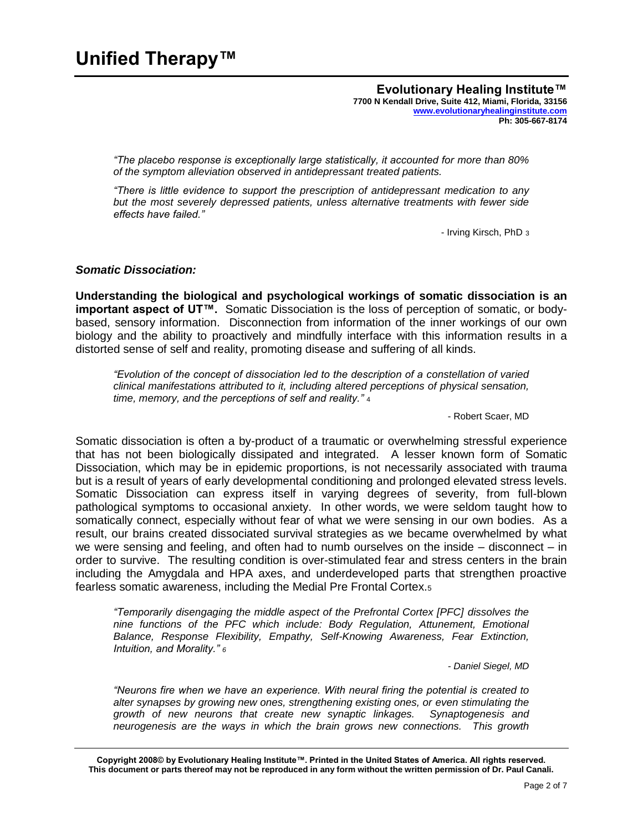*"The placebo response is exceptionally large statistically, it accounted for more than 80% of the symptom alleviation observed in antidepressant treated patients.*

*"There is little evidence to support the prescription of antidepressant medication to any but the most severely depressed patients, unless alternative treatments with fewer side effects have failed."*

- Irving Kirsch, PhD 3

### *Somatic Dissociation:*

**Understanding the biological and psychological workings of somatic dissociation is an important aspect of UT™.** Somatic Dissociation is the loss of perception of somatic, or bodybased, sensory information. Disconnection from information of the inner workings of our own biology and the ability to proactively and mindfully interface with this information results in a distorted sense of self and reality, promoting disease and suffering of all kinds.

*"Evolution of the concept of dissociation led to the description of a constellation of varied clinical manifestations attributed to it, including altered perceptions of physical sensation, time, memory, and the perceptions of self and reality."* <sup>4</sup>

- Robert Scaer, MD

Somatic dissociation is often a by-product of a traumatic or overwhelming stressful experience that has not been biologically dissipated and integrated. A lesser known form of Somatic Dissociation, which may be in epidemic proportions, is not necessarily associated with trauma but is a result of years of early developmental conditioning and prolonged elevated stress levels. Somatic Dissociation can express itself in varying degrees of severity, from full-blown pathological symptoms to occasional anxiety. In other words, we were seldom taught how to somatically connect, especially without fear of what we were sensing in our own bodies. As a result, our brains created dissociated survival strategies as we became overwhelmed by what we were sensing and feeling, and often had to numb ourselves on the inside – disconnect – in order to survive. The resulting condition is over-stimulated fear and stress centers in the brain including the Amygdala and HPA axes, and underdeveloped parts that strengthen proactive fearless somatic awareness, including the Medial Pre Frontal Cortex.<sup>5</sup>

*"Temporarily disengaging the middle aspect of the Prefrontal Cortex [PFC] dissolves the nine functions of the PFC which include: Body Regulation, Attunement, Emotional Balance, Response Flexibility, Empathy, Self-Knowing Awareness, Fear Extinction, Intuition, and Morality." <sup>6</sup>*

*- Daniel Siegel, MD*

*"Neurons fire when we have an experience. With neural firing the potential is created to alter synapses by growing new ones, strengthening existing ones, or even stimulating the growth of new neurons that create new synaptic linkages. Synaptogenesis and neurogenesis are the ways in which the brain grows new connections. This growth* 

**Copyright 2008© by Evolutionary Healing Institute™. Printed in the United States of America. All rights reserved. This document or parts thereof may not be reproduced in any form without the written permission of Dr. Paul Canali.**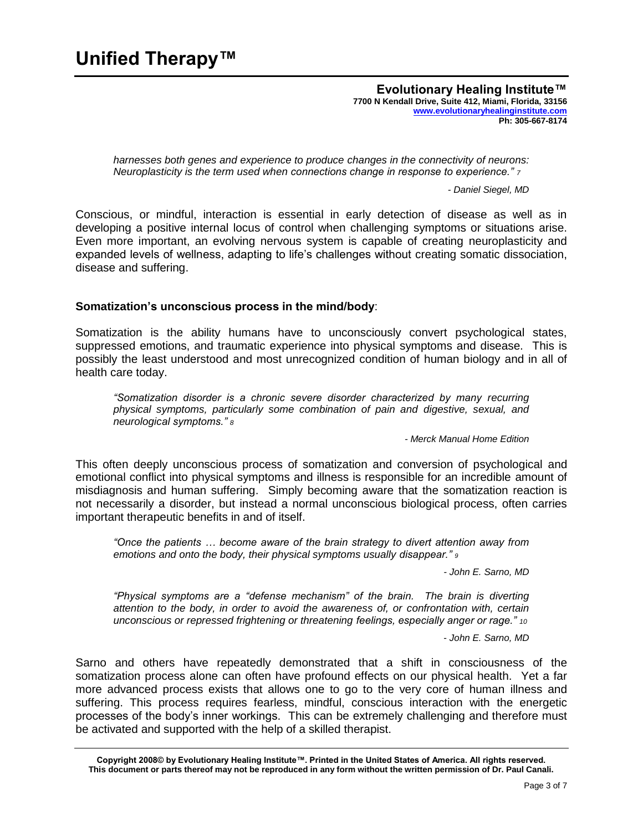*harnesses both genes and experience to produce changes in the connectivity of neurons: Neuroplasticity is the term used when connections change in response to experience." <sup>7</sup>*

*- Daniel Siegel, MD*

Conscious, or mindful, interaction is essential in early detection of disease as well as in developing a positive internal locus of control when challenging symptoms or situations arise. Even more important, an evolving nervous system is capable of creating neuroplasticity and expanded levels of wellness, adapting to life's challenges without creating somatic dissociation, disease and suffering.

### **Somatization's unconscious process in the mind/body**:

Somatization is the ability humans have to unconsciously convert psychological states, suppressed emotions, and traumatic experience into physical symptoms and disease. This is possibly the least understood and most unrecognized condition of human biology and in all of health care today.

*"Somatization disorder is a chronic severe disorder characterized by many recurring physical symptoms, particularly some combination of pain and digestive, sexual, and neurological symptoms." <sup>8</sup>*

*- Merck Manual Home Edition*

This often deeply unconscious process of somatization and conversion of psychological and emotional conflict into physical symptoms and illness is responsible for an incredible amount of misdiagnosis and human suffering. Simply becoming aware that the somatization reaction is not necessarily a disorder, but instead a normal unconscious biological process, often carries important therapeutic benefits in and of itself.

*"Once the patients … become aware of the brain strategy to divert attention away from emotions and onto the body, their physical symptoms usually disappear." <sup>9</sup>*

*- John E. Sarno, MD*

*"Physical symptoms are a "defense mechanism" of the brain. The brain is diverting attention to the body, in order to avoid the awareness of, or confrontation with, certain unconscious or repressed frightening or threatening feelings, especially anger or rage." <sup>10</sup>*

- *John E. Sarno, MD*

Sarno and others have repeatedly demonstrated that a shift in consciousness of the somatization process alone can often have profound effects on our physical health. Yet a far more advanced process exists that allows one to go to the very core of human illness and suffering. This process requires fearless, mindful, conscious interaction with the energetic processes of the body's inner workings. This can be extremely challenging and therefore must be activated and supported with the help of a skilled therapist.

**Copyright 2008© by Evolutionary Healing Institute™. Printed in the United States of America. All rights reserved. This document or parts thereof may not be reproduced in any form without the written permission of Dr. Paul Canali.**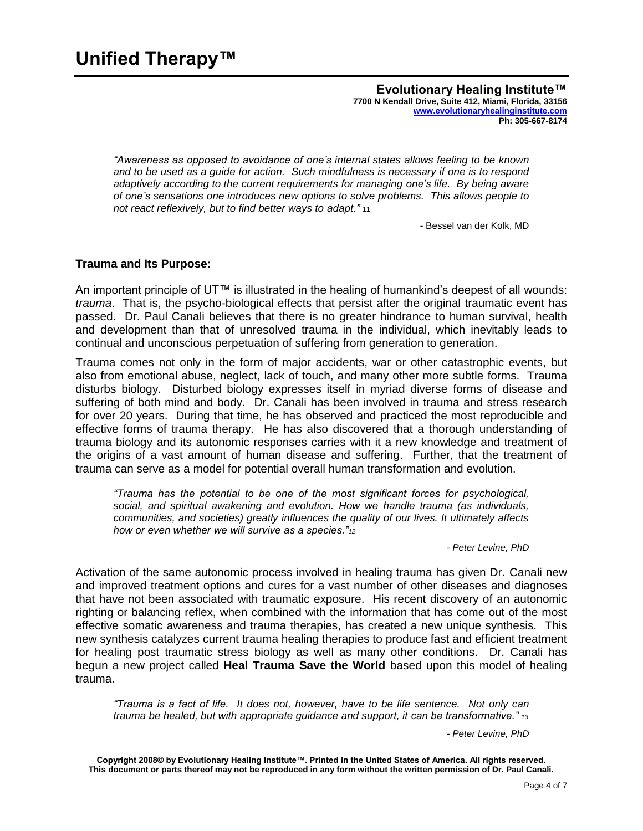*"Awareness as opposed to avoidance of one's internal states allows feeling to be known and to be used as a guide for action. Such mindfulness is necessary if one is to respond adaptively according to the current requirements for managing one's life. By being aware of one's sensations one introduces new options to solve problems. This allows people to not react reflexively, but to find better ways to adapt."* <sup>11</sup>

*-* Bessel van der Kolk, MD

### **Trauma and Its Purpose:**

An important principle of UT™ is illustrated in the healing of humankind's deepest of all wounds: *trauma*. That is, the psycho-biological effects that persist after the original traumatic event has passed. Dr. Paul Canali believes that there is no greater hindrance to human survival, health and development than that of unresolved trauma in the individual, which inevitably leads to continual and unconscious perpetuation of suffering from generation to generation.

Trauma comes not only in the form of major accidents, war or other catastrophic events, but also from emotional abuse, neglect, lack of touch, and many other more subtle forms. Trauma disturbs biology. Disturbed biology expresses itself in myriad diverse forms of disease and suffering of both mind and body. Dr. Canali has been involved in trauma and stress research for over 20 years. During that time, he has observed and practiced the most reproducible and effective forms of trauma therapy. He has also discovered that a thorough understanding of trauma biology and its autonomic responses carries with it a new knowledge and treatment of the origins of a vast amount of human disease and suffering. Further, that the treatment of trauma can serve as a model for potential overall human transformation and evolution.

*"Trauma has the potential to be one of the most significant forces for psychological, social, and spiritual awakening and evolution. How we handle trauma (as individuals, communities, and societies) greatly influences the quality of our lives. It ultimately affects how or even whether we will survive as a species."<sup>12</sup>*

*- Peter Levine, PhD*

Activation of the same autonomic process involved in healing trauma has given Dr. Canali new and improved treatment options and cures for a vast number of other diseases and diagnoses that have not been associated with traumatic exposure. His recent discovery of an autonomic righting or balancing reflex, when combined with the information that has come out of the most effective somatic awareness and trauma therapies, has created a new unique synthesis. This new synthesis catalyzes current trauma healing therapies to produce fast and efficient treatment for healing post traumatic stress biology as well as many other conditions. Dr. Canali has begun a new project called **Heal Trauma Save the World** based upon this model of healing trauma.

*"Trauma is a fact of life. It does not, however, have to be life sentence. Not only can trauma be healed, but with appropriate guidance and support, it can be transformative." <sup>13</sup>*

*- Peter Levine, PhD*

**Copyright 2008© by Evolutionary Healing Institute™. Printed in the United States of America. All rights reserved. This document or parts thereof may not be reproduced in any form without the written permission of Dr. Paul Canali.**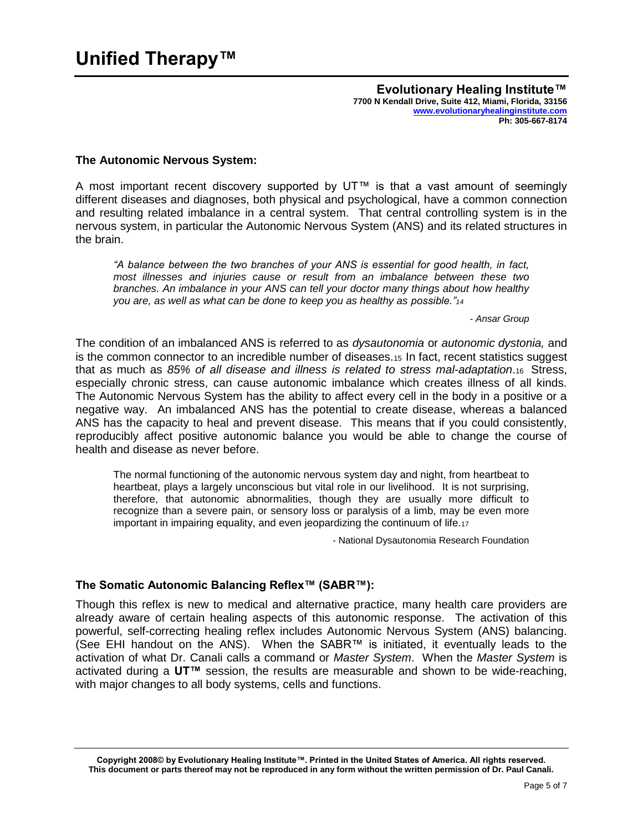### **The Autonomic Nervous System:**

A most important recent discovery supported by UT™ is that a vast amount of seemingly different diseases and diagnoses, both physical and psychological, have a common connection and resulting related imbalance in a central system. That central controlling system is in the nervous system, in particular the Autonomic Nervous System (ANS) and its related structures in the brain.

*"A balance between the two branches of your ANS is essential for good health, in fact, most illnesses and injuries cause or result from an imbalance between these two branches. An imbalance in your ANS can tell your doctor many things about how healthy you are, as well as what can be done to keep you as healthy as possible."<sup>14</sup>*

*- Ansar Group*

The condition of an imbalanced ANS is referred to as *dysautonomia* or *autonomic dystonia,* and is the common connector to an incredible number of diseases.15 In fact, recent statistics suggest that as much as *85% of all disease and illness is related to stress mal-adaptation*.16 Stress, especially chronic stress, can cause autonomic imbalance which creates illness of all kinds. The Autonomic Nervous System has the ability to affect every cell in the body in a positive or a negative way. An imbalanced ANS has the potential to create disease, whereas a balanced ANS has the capacity to heal and prevent disease. This means that if you could consistently, reproducibly affect positive autonomic balance you would be able to change the course of health and disease as never before.

The normal functioning of the autonomic nervous system day and night, from heartbeat to heartbeat, plays a largely unconscious but vital role in our livelihood. It is not surprising, therefore, that autonomic abnormalities, though they are usually more difficult to recognize than a severe pain, or sensory loss or paralysis of a limb, may be even more important in impairing equality, and even jeopardizing the continuum of life.<sup>17</sup>

- National Dysautonomia Research Foundation

# **The Somatic Autonomic Balancing Reflex™ (SABR™):**

Though this reflex is new to medical and alternative practice, many health care providers are already aware of certain healing aspects of this autonomic response. The activation of this powerful, self-correcting healing reflex includes Autonomic Nervous System (ANS) balancing. (See EHI handout on the ANS). When the SABR™ is initiated, it eventually leads to the activation of what Dr. Canali calls a command or *Master System*. When the *Master System* is activated during a **UT™** session, the results are measurable and shown to be wide-reaching, with major changes to all body systems, cells and functions.

**Copyright 2008© by Evolutionary Healing Institute™. Printed in the United States of America. All rights reserved. This document or parts thereof may not be reproduced in any form without the written permission of Dr. Paul Canali.**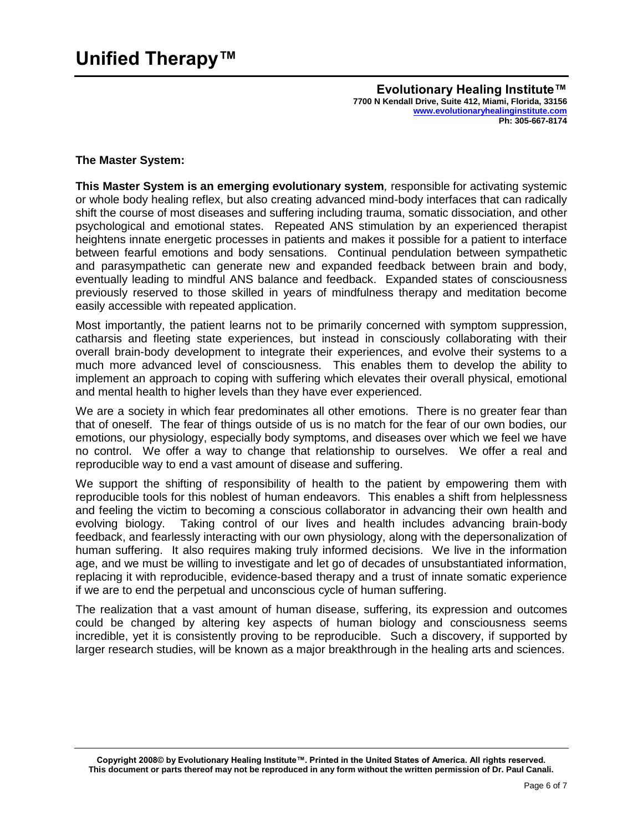# **The Master System:**

**This Master System is an emerging evolutionary system***,* responsible for activating systemic or whole body healing reflex, but also creating advanced mind-body interfaces that can radically shift the course of most diseases and suffering including trauma, somatic dissociation, and other psychological and emotional states. Repeated ANS stimulation by an experienced therapist heightens innate energetic processes in patients and makes it possible for a patient to interface between fearful emotions and body sensations. Continual pendulation between sympathetic and parasympathetic can generate new and expanded feedback between brain and body, eventually leading to mindful ANS balance and feedback. Expanded states of consciousness previously reserved to those skilled in years of mindfulness therapy and meditation become easily accessible with repeated application.

Most importantly, the patient learns not to be primarily concerned with symptom suppression, catharsis and fleeting state experiences, but instead in consciously collaborating with their overall brain-body development to integrate their experiences, and evolve their systems to a much more advanced level of consciousness. This enables them to develop the ability to implement an approach to coping with suffering which elevates their overall physical, emotional and mental health to higher levels than they have ever experienced.

We are a society in which fear predominates all other emotions. There is no greater fear than that of oneself. The fear of things outside of us is no match for the fear of our own bodies, our emotions, our physiology, especially body symptoms, and diseases over which we feel we have no control. We offer a way to change that relationship to ourselves. We offer a real and reproducible way to end a vast amount of disease and suffering.

We support the shifting of responsibility of health to the patient by empowering them with reproducible tools for this noblest of human endeavors. This enables a shift from helplessness and feeling the victim to becoming a conscious collaborator in advancing their own health and evolving biology. Taking control of our lives and health includes advancing brain-body feedback, and fearlessly interacting with our own physiology, along with the depersonalization of human suffering. It also requires making truly informed decisions. We live in the information age, and we must be willing to investigate and let go of decades of unsubstantiated information, replacing it with reproducible, evidence-based therapy and a trust of innate somatic experience if we are to end the perpetual and unconscious cycle of human suffering.

The realization that a vast amount of human disease, suffering, its expression and outcomes could be changed by altering key aspects of human biology and consciousness seems incredible, yet it is consistently proving to be reproducible. Such a discovery, if supported by larger research studies, will be known as a major breakthrough in the healing arts and sciences.

**Copyright 2008© by Evolutionary Healing Institute™. Printed in the United States of America. All rights reserved. This document or parts thereof may not be reproduced in any form without the written permission of Dr. Paul Canali.**